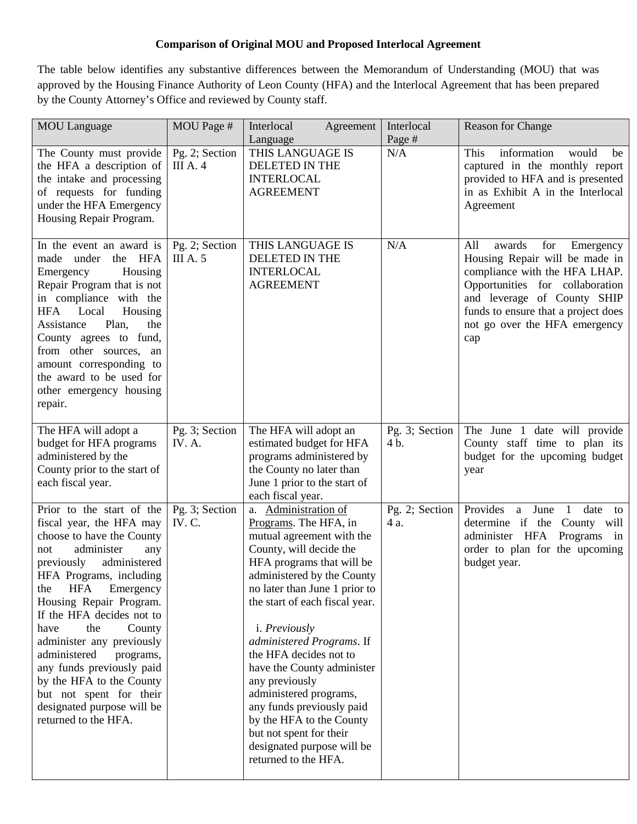## **Comparison of Original MOU and Proposed Interlocal Agreement**

The table below identifies any substantive differences between the Memorandum of Understanding (MOU) that was approved by the Housing Finance Authority of Leon County (HFA) and the Interlocal Agreement that has been prepared by the County Attorney's Office and reviewed by County staff.

| <b>MOU</b> Language                                                                                                                                                                                                                                                                                                                                                                                                                                                                            | MOU Page #                   | Interlocal<br>Agreement<br>Language                                                                                                                                                                                                                                                                                                                                                                                                                                                                                                    | Interlocal<br>Page #   | <b>Reason for Change</b>                                                                                                                                                                                                                              |
|------------------------------------------------------------------------------------------------------------------------------------------------------------------------------------------------------------------------------------------------------------------------------------------------------------------------------------------------------------------------------------------------------------------------------------------------------------------------------------------------|------------------------------|----------------------------------------------------------------------------------------------------------------------------------------------------------------------------------------------------------------------------------------------------------------------------------------------------------------------------------------------------------------------------------------------------------------------------------------------------------------------------------------------------------------------------------------|------------------------|-------------------------------------------------------------------------------------------------------------------------------------------------------------------------------------------------------------------------------------------------------|
| The County must provide<br>the HFA a description of<br>the intake and processing<br>of requests for funding<br>under the HFA Emergency<br>Housing Repair Program.                                                                                                                                                                                                                                                                                                                              | Pg. 2; Section<br>III A.4    | THIS LANGUAGE IS<br>DELETED IN THE<br><b>INTERLOCAL</b><br><b>AGREEMENT</b>                                                                                                                                                                                                                                                                                                                                                                                                                                                            | N/A                    | information<br>This<br>would<br>be<br>captured in the monthly report<br>provided to HFA and is presented<br>in as Exhibit A in the Interlocal<br>Agreement                                                                                            |
| In the event an award is<br>the HFA<br>made under<br>Emergency<br>Housing<br>Repair Program that is not<br>in compliance with the<br>Local<br>Housing<br>HFA<br>Plan,<br>Assistance<br>the<br>County agrees to fund,<br>from other sources, an<br>amount corresponding to<br>the award to be used for<br>other emergency housing<br>repair.                                                                                                                                                    | Pg. 2; Section<br>III A. $5$ | THIS LANGUAGE IS<br><b>DELETED IN THE</b><br><b>INTERLOCAL</b><br><b>AGREEMENT</b>                                                                                                                                                                                                                                                                                                                                                                                                                                                     | N/A                    | All<br>awards<br>for<br>Emergency<br>Housing Repair will be made in<br>compliance with the HFA LHAP.<br>Opportunities for collaboration<br>and leverage of County SHIP<br>funds to ensure that a project does<br>not go over the HFA emergency<br>cap |
| The HFA will adopt a<br>budget for HFA programs<br>administered by the<br>County prior to the start of<br>each fiscal year.                                                                                                                                                                                                                                                                                                                                                                    | Pg. 3; Section<br>IV. A.     | The HFA will adopt an<br>estimated budget for HFA<br>programs administered by<br>the County no later than<br>June 1 prior to the start of<br>each fiscal year.                                                                                                                                                                                                                                                                                                                                                                         | Pg. 3; Section<br>4 b. | The June 1 date will provide<br>County staff time to plan its<br>budget for the upcoming budget<br>year                                                                                                                                               |
| Prior to the start of the<br>fiscal year, the HFA may<br>choose to have the County<br>administer<br>any<br>not<br>administered<br>previously<br>HFA Programs, including<br><b>HFA</b><br>Emergency<br>the<br>Housing Repair Program.<br>If the HFA decides not to<br>the<br>have<br>County<br>administer any previously<br>administered<br>programs,<br>any funds previously paid<br>by the HFA to the County<br>but not spent for their<br>designated purpose will be<br>returned to the HFA. | Pg. 3; Section<br>IV.C.      | a. Administration of<br>Programs. The HFA, in<br>mutual agreement with the<br>County, will decide the<br>HFA programs that will be<br>administered by the County<br>no later than June 1 prior to<br>the start of each fiscal year.<br><i>i. Previously</i><br>administered Programs. If<br>the HFA decides not to<br>have the County administer<br>any previously<br>administered programs,<br>any funds previously paid<br>by the HFA to the County<br>but not spent for their<br>designated purpose will be<br>returned to the HFA. | Pg. 2; Section<br>4 a. | Provides<br>a<br>June<br>$\overline{1}$<br>date<br>to<br>determine if the County will<br>administer HFA Programs in<br>order to plan for the upcoming<br>budget year.                                                                                 |